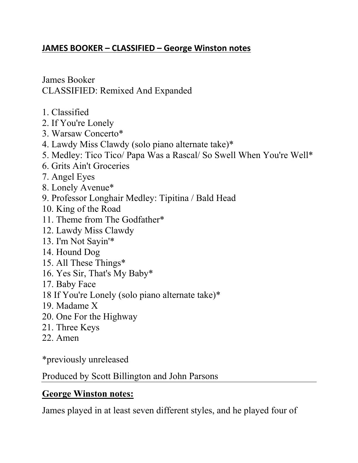## **JAMES BOOKER – CLASSIFIED – George Winston notes**

James Booker CLASSIFIED: Remixed And Expanded

- 1. Classified
- 2. If You're Lonely
- 3. Warsaw Concerto\*
- 4. Lawdy Miss Clawdy (solo piano alternate take)\*
- 5. Medley: Tico Tico/ Papa Was a Rascal/ So Swell When You're Well\*
- 6. Grits Ain't Groceries
- 7. Angel Eyes
- 8. Lonely Avenue\*
- 9. Professor Longhair Medley: Tipitina / Bald Head
- 10. King of the Road
- 11. Theme from The Godfather\*
- 12. Lawdy Miss Clawdy
- 13. I'm Not Sayin'\*
- 14. Hound Dog
- 15. All These Things\*
- 16. Yes Sir, That's My Baby\*
- 17. Baby Face
- 18 If You're Lonely (solo piano alternate take)\*
- 19. Madame X
- 20. One For the Highway
- 21. Three Keys
- 22. Amen

\*previously unreleased

Produced by Scott Billington and John Parsons

# **George Winston notes:**

James played in at least seven different styles, and he played four of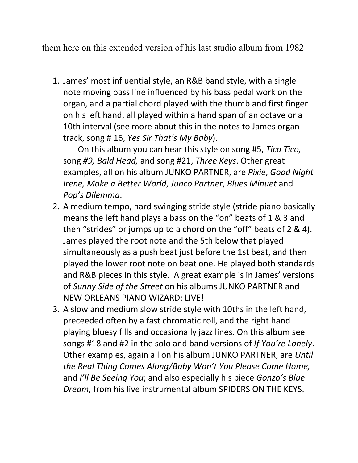them here on this extended version of his last studio album from 1982

1. James' most influential style, an R&B band style, with a single note moving bass line influenced by his bass pedal work on the organ, and a partial chord played with the thumb and first finger on his left hand, all played within a hand span of an octave or a 10th interval (see more about this in the notes to James organ track, song # 16, *Yes Sir That's My Baby*).

 On this album you can hear this style on song #5, *Tico Tico,*  song *#9, Bald Head,* and song #21, *Three Keys*. Other great examples, all on his album JUNKO PARTNER, are *Pixie*, *Good Night Irene, Make a Better World*, *Junco Partner*, *Blues Minuet* and *Pop's Dilemma*.

- 2. A medium tempo, hard swinging stride style (stride piano basically means the left hand plays a bass on the "on" beats of 1 & 3 and then "strides" or jumps up to a chord on the "off" beats of 2 & 4). James played the root note and the 5th below that played simultaneously as a push beat just before the 1st beat, and then played the lower root note on beat one. He played both standards and R&B pieces in this style. A great example is in James' versions of *Sunny Side of the Street* on his albums JUNKO PARTNER and NEW ORLEANS PIANO WIZARD: LIVE!
- 3. A slow and medium slow stride style with 10ths in the left hand, preceeded often by a fast chromatic roll, and the right hand playing bluesy fills and occasionally jazz lines. On this album see songs #18 and #2 in the solo and band versions of *If You're Lonely*. Other examples, again all on his album JUNKO PARTNER, are *Until the Real Thing Comes Along/Baby Won't You Please Come Home,*  and *I'll Be Seeing You*; and also especially his piece *Gonzo's Blue Dream*, from his live instrumental album SPIDERS ON THE KEYS.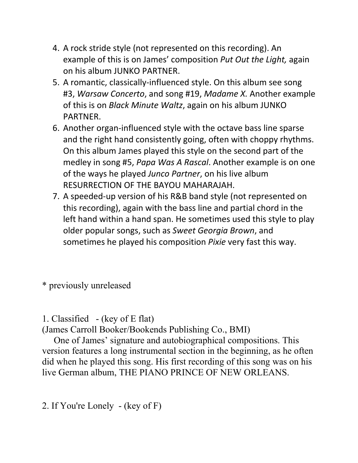- 4. A rock stride style (not represented on this recording). An example of this is on James' composition *Put Out the Light,* again on his album JUNKO PARTNER.
- 5. A romantic, classically-influenced style. On this album see song #3, *Warsaw Concerto*, and song #19, *Madame X.* Another example of this is on *Black Minute Waltz*, again on his album JUNKO PARTNER.
- 6. Another organ-influenced style with the octave bass line sparse and the right hand consistently going, often with choppy rhythms. On this album James played this style on the second part of the medley in song #5, *Papa Was A Rascal*. Another example is on one of the ways he played *Junco Partner*, on his live album RESURRECTION OF THE BAYOU MAHARAJAH.
- 7. A speeded-up version of his R&B band style (not represented on this recording), again with the bass line and partial chord in the left hand within a hand span. He sometimes used this style to play older popular songs, such as *Sweet Georgia Brown*, and sometimes he played his composition *Pixie* very fast this way.

\* previously unreleased

## 1. Classified - (key of E flat)

(James Carroll Booker/Bookends Publishing Co., BMI)

 One of James' signature and autobiographical compositions. This version features a long instrumental section in the beginning, as he often did when he played this song. His first recording of this song was on his live German album, THE PIANO PRINCE OF NEW ORLEANS.

2. If You're Lonely - (key of F)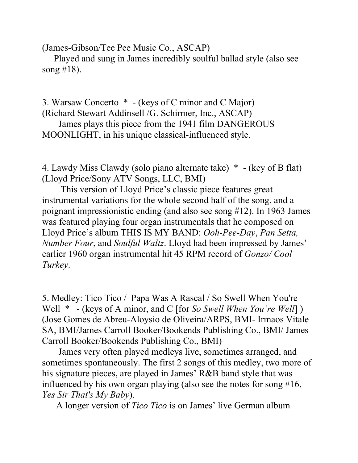(James-Gibson/Tee Pee Music Co., ASCAP)

 Played and sung in James incredibly soulful ballad style (also see song #18).

3. Warsaw Concerto \* - (keys of C minor and C Major) (Richard Stewart Addinsell /G. Schirmer, Inc., ASCAP)

 James plays this piece from the 1941 film DANGEROUS MOONLIGHT, in his unique classical-influenced style.

4. Lawdy Miss Clawdy (solo piano alternate take) \* - (key of B flat) (Lloyd Price/Sony ATV Songs, LLC, BMI)

 This version of Lloyd Price's classic piece features great instrumental variations for the whole second half of the song, and a poignant impressionistic ending (and also see song #12). In 1963 James was featured playing four organ instrumentals that he composed on Lloyd Price's album THIS IS MY BAND: *Ooh-Pee-Day*, *Pan Setta, Number Four*, and *Soulful Waltz*. Lloyd had been impressed by James' earlier 1960 organ instrumental hit 45 RPM record of *Gonzo/ Cool Turkey*.

5. Medley: Tico Tico / Papa Was A Rascal / So Swell When You're Well \* - (keys of A minor, and C [for *So Swell When You're Well*] ) (Jose Gomes de Abreu-Aloysio de Oliveira/ARPS, BMI- Irmaos Vitale SA, BMI/James Carroll Booker/Bookends Publishing Co., BMI/ James Carroll Booker/Bookends Publishing Co., BMI)

 James very often played medleys live, sometimes arranged, and sometimes spontaneously. The first 2 songs of this medley, two more of his signature pieces, are played in James' R&B band style that was influenced by his own organ playing (also see the notes for song #16, *Yes Sir That's My Baby*).

A longer version of *Tico Tico* is on James' live German album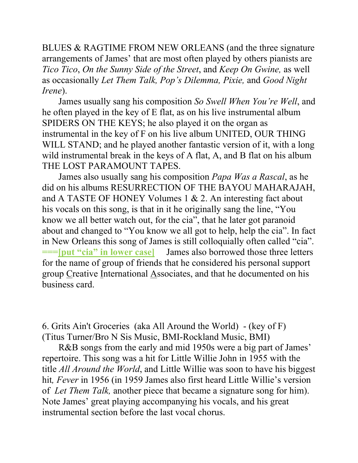BLUES & RAGTIME FROM NEW ORLEANS (and the three signature arrangements of James' that are most often played by others pianists are *Tico Tico*, *On the Sunny Side of the Street*, and *Keep On Gwine,* as well as occasionally *Let Them Talk, Pop's Dilemma, Pixie,* and *Good Night Irene*).

 James usually sang his composition *So Swell When You're Well*, and he often played in the key of E flat, as on his live instrumental album SPIDERS ON THE KEYS; he also played it on the organ as instrumental in the key of F on his live album UNITED, OUR THING WILL STAND; and he played another fantastic version of it, with a long wild instrumental break in the keys of A flat, A, and B flat on his album THE LOST PARAMOUNT TAPES.

 James also usually sang his composition *Papa Was a Rascal*, as he did on his albums RESURRECTION OF THE BAYOU MAHARAJAH, and A TASTE OF HONEY Volumes 1 & 2. An interesting fact about his vocals on this song, is that in it he originally sang the line, "You know we all better watch out, for the cia", that he later got paranoid about and changed to "You know we all got to help, help the cia". In fact in New Orleans this song of James is still colloquially often called "cia". **===[put "cia" in lower case]** James also borrowed those three letters for the name of group of friends that he considered his personal support group Creative International Associates, and that he documented on his business card.

6. Grits Ain't Groceries (aka All Around the World) - (key of F) (Titus Turner/Bro N Sis Music, BMI-Rockland Music, BMI)

 R&B songs from the early and mid 1950s were a big part of James' repertoire. This song was a hit for Little Willie John in 1955 with the title *All Around the World*, and Little Willie was soon to have his biggest hit*, Fever* in 1956 (in 1959 James also first heard Little Willie's version of *Let Them Talk,* another piece that became a signature song for him). Note James' great playing accompanying his vocals, and his great instrumental section before the last vocal chorus.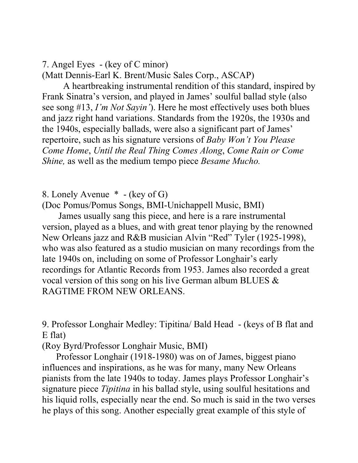7. Angel Eyes - (key of C minor)

(Matt Dennis-Earl K. Brent/Music Sales Corp., ASCAP)

 A heartbreaking instrumental rendition of this standard, inspired by Frank Sinatra's version, and played in James' soulful ballad style (also see song #13, *I'm Not Sayin'*). Here he most effectively uses both blues and jazz right hand variations. Standards from the 1920s, the 1930s and the 1940s, especially ballads, were also a significant part of James' repertoire, such as his signature versions of *Baby Won't You Please Come Home*, *Until the Real Thing Comes Along*, *Come Rain or Come Shine,* as well as the medium tempo piece *Besame Mucho.*

8. Lonely Avenue \* - (key of G)

(Doc Pomus/Pomus Songs, BMI-Unichappell Music, BMI)

 James usually sang this piece, and here is a rare instrumental version, played as a blues, and with great tenor playing by the renowned New Orleans jazz and R&B musician Alvin "Red" Tyler (1925-1998), who was also featured as a studio musician on many recordings from the late 1940s on, including on some of Professor Longhair's early recordings for Atlantic Records from 1953. James also recorded a great vocal version of this song on his live German album BLUES & RAGTIME FROM NEW ORLEANS.

9. Professor Longhair Medley: Tipitina/ Bald Head - (keys of B flat and E flat)

(Roy Byrd/Professor Longhair Music, BMI)

 Professor Longhair (1918-1980) was on of James, biggest piano influences and inspirations, as he was for many, many New Orleans pianists from the late 1940s to today. James plays Professor Longhair's signature piece *Tipitina* in his ballad style, using soulful hesitations and his liquid rolls, especially near the end. So much is said in the two verses he plays of this song. Another especially great example of this style of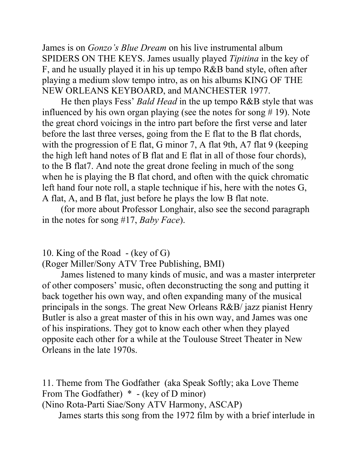James is on *Gonzo's Blue Dream* on his live instrumental album SPIDERS ON THE KEYS. James usually played *Tipitina* in the key of F, and he usually played it in his up tempo R&B band style, often after playing a medium slow tempo intro, as on his albums KING OF THE NEW ORLEANS KEYBOARD, and MANCHESTER 1977.

 He then plays Fess' *Bald Head* in the up tempo R&B style that was influenced by his own organ playing (see the notes for song  $# 19$ ). Note the great chord voicings in the intro part before the first verse and later before the last three verses, going from the E flat to the B flat chords, with the progression of E flat, G minor 7, A flat 9th, A7 flat 9 (keeping the high left hand notes of B flat and E flat in all of those four chords), to the B flat7. And note the great drone feeling in much of the song when he is playing the B flat chord, and often with the quick chromatic left hand four note roll, a staple technique if his, here with the notes G, A flat, A, and B flat, just before he plays the low B flat note.

 (for more about Professor Longhair, also see the second paragraph in the notes for song #17, *Baby Face*).

10. King of the Road - (key of G)

(Roger Miller/Sony ATV Tree Publishing, BMI)

 James listened to many kinds of music, and was a master interpreter of other composers' music, often deconstructing the song and putting it back together his own way, and often expanding many of the musical principals in the songs. The great New Orleans R&B/ jazz pianist Henry Butler is also a great master of this in his own way, and James was one of his inspirations. They got to know each other when they played opposite each other for a while at the Toulouse Street Theater in New Orleans in the late 1970s.

11. Theme from The Godfather (aka Speak Softly; aka Love Theme From The Godfather) \* - (key of D minor)

(Nino Rota-Parti Siae/Sony ATV Harmony, ASCAP) James starts this song from the 1972 film by with a brief interlude in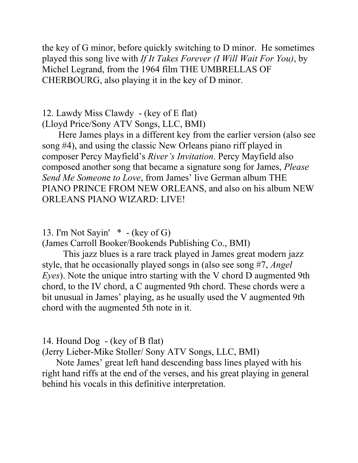the key of G minor, before quickly switching to D minor. He sometimes played this song live with *If It Takes Forever (I Will Wait For You)*, by Michel Legrand, from the 1964 film THE UMBRELLAS OF CHERBOURG, also playing it in the key of D minor.

12. Lawdy Miss Clawdy - (key of E flat) (Lloyd Price/Sony ATV Songs, LLC, BMI)

 Here James plays in a different key from the earlier version (also see song #4), and using the classic New Orleans piano riff played in composer Percy Mayfield's *River's Invitation*. Percy Mayfield also composed another song that became a signature song for James, *Please Send Me Someon*e *to Love*, from James' live German album THE PIANO PRINCE FROM NEW ORLEANS, and also on his album NEW ORLEANS PIANO WIZARD: LIVE!

13. I'm Not Sayin' \* - (key of G)

(James Carroll Booker/Bookends Publishing Co., BMI)

 This jazz blues is a rare track played in James great modern jazz style, that he occasionally played songs in (also see song #7, *Angel Eyes*). Note the unique intro starting with the V chord D augmented 9th chord, to the IV chord, a C augmented 9th chord. These chords were a bit unusual in James' playing, as he usually used the V augmented 9th chord with the augmented 5th note in it.

### 14. Hound Dog - (key of B flat)

(Jerry Lieber-Mike Stoller/ Sony ATV Songs, LLC, BMI)

 Note James' great left hand descending bass lines played with his right hand riffs at the end of the verses, and his great playing in general behind his vocals in this definitive interpretation.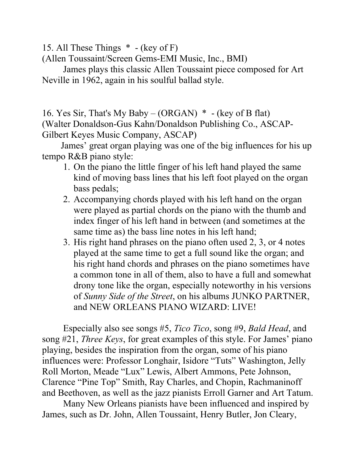15. All These Things \* - (key of F)

(Allen Toussaint/Screen Gems-EMI Music, Inc., BMI)

 James plays this classic Allen Toussaint piece composed for Art Neville in 1962, again in his soulful ballad style.

16. Yes Sir, That's My Baby – (ORGAN) \* - (key of B flat) (Walter Donaldson-Gus Kahn/Donaldson Publishing Co., ASCAP-Gilbert Keyes Music Company, ASCAP)

 James' great organ playing was one of the big influences for his up tempo R&B piano style:

- 1. On the piano the little finger of his left hand played the same kind of moving bass lines that his left foot played on the organ bass pedals;
- 2. Accompanying chords played with his left hand on the organ were played as partial chords on the piano with the thumb and index finger of his left hand in between (and sometimes at the same time as) the bass line notes in his left hand;
- 3. His right hand phrases on the piano often used 2, 3, or 4 notes played at the same time to get a full sound like the organ; and his right hand chords and phrases on the piano sometimes have a common tone in all of them, also to have a full and somewhat drony tone like the organ, especially noteworthy in his versions of *Sunny Side of the Street*, on his albums JUNKO PARTNER, and NEW ORLEANS PIANO WIZARD: LIVE!

Especially also see songs #5, *Tico Tico*, song #9, *Bald Head*, and song #21, *Three Keys*, for great examples of this style. For James' piano playing, besides the inspiration from the organ, some of his piano influences were: Professor Longhair, Isidore "Tuts" Washington, Jelly Roll Morton, Meade "Lux" Lewis, Albert Ammons, Pete Johnson, Clarence "Pine Top" Smith, Ray Charles, and Chopin, Rachmaninoff and Beethoven, as well as the jazz pianists Erroll Garner and Art Tatum.

Many New Orleans pianists have been influenced and inspired by James, such as Dr. John, Allen Toussaint, Henry Butler, Jon Cleary,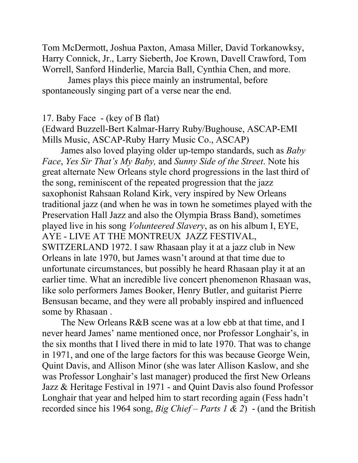Tom McDermott, Joshua Paxton, Amasa Miller, David Torkanowksy, Harry Connick, Jr., Larry Sieberth, Joe Krown, Davell Crawford, Tom Worrell, Sanford Hinderlie, Marcia Ball, Cynthia Chen, and more.

 James plays this piece mainly an instrumental, before spontaneously singing part of a verse near the end.

### 17. Baby Face - (key of B flat)

(Edward Buzzell-Bert Kalmar-Harry Ruby/Bughouse, ASCAP-EMI Mills Music, ASCAP-Ruby Harry Music Co., ASCAP)

 James also loved playing older up-tempo standards, such as *Baby Face*, *Yes Sir That's My Baby,* and *Sunny Side of the Street*. Note his great alternate New Orleans style chord progressions in the last third of the song, reminiscent of the repeated progression that the jazz saxophonist Rahsaan Roland Kirk, very inspired by New Orleans traditional jazz (and when he was in town he sometimes played with the Preservation Hall Jazz and also the Olympia Brass Band), sometimes played live in his song *Volunteered Slavery*, as on his album I, EYE, AYE - LIVE AT THE MONTREUX JAZZ FESTIVAL, SWITZERLAND 1972. I saw Rhasaan play it at a jazz club in New Orleans in late 1970, but James wasn't around at that time due to unfortunate circumstances, but possibly he heard Rhasaan play it at an earlier time. What an incredible live concert phenomenon Rhasaan was, like solo performers James Booker, Henry Butler, and guitarist Pierre Bensusan became, and they were all probably inspired and influenced some by Rhasaan .

The New Orleans R&B scene was at a low ebb at that time, and I never heard James' name mentioned once, nor Professor Longhair's, in the six months that I lived there in mid to late 1970. That was to change in 1971, and one of the large factors for this was because George Wein, Quint Davis, and Allison Minor (she was later Allison Kaslow, and she was Professor Longhair's last manager) produced the first New Orleans Jazz & Heritage Festival in 1971 - and Quint Davis also found Professor Longhair that year and helped him to start recording again (Fess hadn't recorded since his 1964 song, *Big Chief – Parts 1 & 2*) - (and the British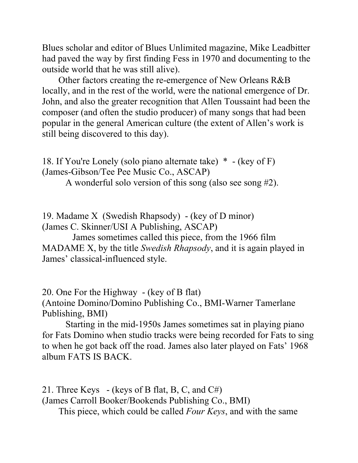Blues scholar and editor of Blues Unlimited magazine, Mike Leadbitter had paved the way by first finding Fess in 1970 and documenting to the outside world that he was still alive).

 Other factors creating the re-emergence of New Orleans R&B locally, and in the rest of the world, were the national emergence of Dr. John, and also the greater recognition that Allen Toussaint had been the composer (and often the studio producer) of many songs that had been popular in the general American culture (the extent of Allen's work is still being discovered to this day).

18. If You're Lonely (solo piano alternate take) \* - (key of F) (James-Gibson/Tee Pee Music Co., ASCAP)

A wonderful solo version of this song (also see song #2).

19. Madame X (Swedish Rhapsody) - (key of D minor) (James C. Skinner/USI A Publishing, ASCAP)

 James sometimes called this piece, from the 1966 film MADAME X, by the title *Swedish Rhapsody*, and it is again played in James' classical-influenced style.

20. One For the Highway - (key of B flat) (Antoine Domino/Domino Publishing Co., BMI-Warner Tamerlane Publishing, BMI)

 Starting in the mid-1950s James sometimes sat in playing piano for Fats Domino when studio tracks were being recorded for Fats to sing to when he got back off the road. James also later played on Fats' 1968 album FATS IS BACK.

21. Three Keys - (keys of B flat, B, C, and  $C#$ ) (James Carroll Booker/Bookends Publishing Co., BMI) This piece, which could be called *Four Keys*, and with the same